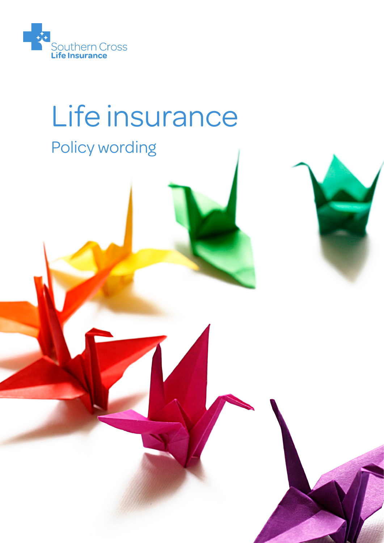

# Life insurance

## Policy wording

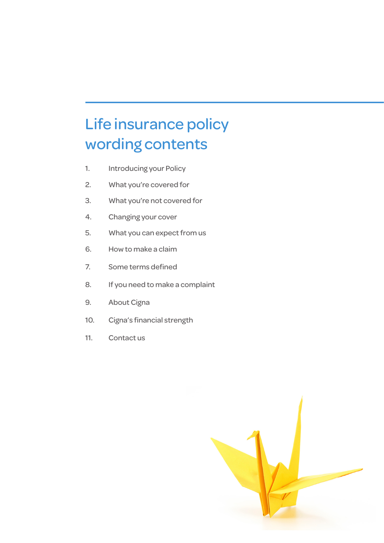### Life insurance policy wording contents

- 1. Introducing your Policy
- 2. What you're covered for
- 3. What you're not covered for
- 4. Changing your cover
- 5. What you can expect from us
- 6. How to make a claim
- 7. Some terms defined
- 8. If you need to make a complaint
- 9. About Cigna
- 10. Cigna's financial strength
- 11. Contact us

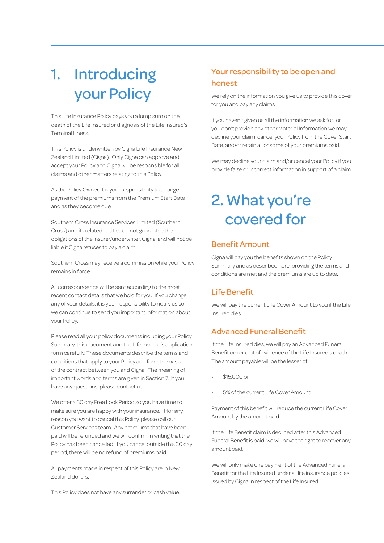### 1. Introducing your Policy

This Life Insurance Policy pays you a lump sum on the death of the Life Insured or diagnosis of the Life Insured's Terminal Illness.

This Policy is underwritten by Cigna Life Insurance New Zealand Limited (Cigna). Only Cigna can approve and accept your Policy and Cigna will be responsible for all claims and other matters relating to this Policy.

As the Policy Owner, it is your responsibility to arrange payment of the premiums from the Premium Start Date and as they become due.

Southern Cross Insurance Services Limited (Southern Cross) and its related entities do not guarantee the obligations of the insurer/underwriter, Cigna, and will not be liable if Cigna refuses to pay a claim.

Southern Cross may receive a commission while your Policy remains in force.

All correspondence will be sent according to the most recent contact details that we hold for you. If you change any of your details, it is your responsibility to notify us so we can continue to send you important information about your Policy.

Please read all your policy documents including your Policy Summary, this document and the Life Insured's application form carefully. These documents describe the terms and conditions that apply to your Policy and form the basis of the contract between you and Cigna. The meaning of important words and terms are given in Section 7. If you have any questions, please contact us.

We offer a 30 day Free Look Period so you have time to make sure you are happy with your insurance. If for any reason you want to cancel this Policy, please call our Customer Services team. Any premiums that have been paid will be refunded and we will confirm in writing that the Policy has been cancelled. If you cancel outside this 30 day period, there will be no refund of premiums paid.

All payments made in respect of this Policy are in New Zealand dollars.

This Policy does not have any surrender or cash value.

#### Your responsibility to be open and honest

We rely on the information you give us to provide this cover for you and pay any claims.

If you haven't given us all the information we ask for, or you don't provide any other Material Information we may decline your claim, cancel your Policy from the Cover Start Date, and/or retain all or some of your premiums paid.

We may decline your claim and/or cancel your Policy if you provide false or incorrect information in support of a claim.

### 2. What you're covered for

#### Benefit Amount

Cigna will pay you the benefits shown on the Policy Summary and as described here, providing the terms and conditions are met and the premiums are up to date.

#### Life Benefit

We will pay the current Life Cover Amount to you if the Life Insured dies.

#### Advanced Funeral Benefit

If the Life Insured dies, we will pay an Advanced Funeral Benefit on receipt of evidence of the Life Insured's death. The amount payable will be the lesser of:

- \$15,000 or
- 5% of the current Life Cover Amount.

Payment of this benefit will reduce the current Life Cover Amount by the amount paid.

If the Life Benefit claim is declined after this Advanced Funeral Benefit is paid, we will have the right to recover any amount paid.

We will only make one payment of the Advanced Funeral Benefit for the Life Insured under all life insurance policies issued by Cigna in respect of the Life Insured.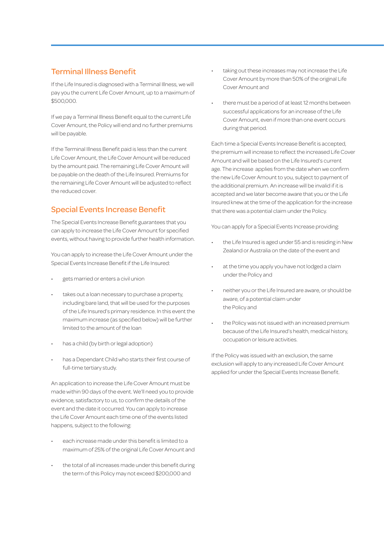#### Terminal Illness Benefit

If the Life Insured is diagnosed with a Terminal Illness, we will pay you the current Life Cover Amount, up to a maximum of \$500,000.

If we pay a Terminal Illness Benefit equal to the current Life Cover Amount, the Policy will end and no further premiums will be payable.

If the Terminal Illness Benefit paid is less than the current Life Cover Amount, the Life Cover Amount will be reduced by the amount paid. The remaining Life Cover Amount will be payable on the death of the Life Insured. Premiums for the remaining Life Cover Amount will be adjusted to reflect the reduced cover.

#### Special Events Increase Benefit

The Special Events Increase Benefit guarantees that you can apply to increase the Life Cover Amount for specified events, without having to provide further health information.

You can apply to increase the Life Cover Amount under the Special Events Increase Benefit if the Life Insured:

- gets married or enters a civil union
- takes out a loan necessary to purchase a property, including bare land, that will be used for the purposes of the Life Insured's primary residence. In this event the maximum increase (as specified below) will be further limited to the amount of the loan
- has a child (by birth or legal adoption)
- has a Dependant Child who starts their first course of full-time tertiary study.

An application to increase the Life Cover Amount must be made within 90 days of the event. We'll need you to provide evidence, satisfactory to us, to confirm the details of the event and the date it occurred. You can apply to increase the Life Cover Amount each time one of the events listed happens, subject to the following:

- each increase made under this benefit is limited to a maximum of 25% of the original Life Cover Amount and
- the total of all increases made under this benefit during the term of this Policy may not exceed \$200,000 and
- taking out these increases may not increase the Life Cover Amount by more than 50% of the original Life Cover Amount and
- there must be a period of at least 12 months between successful applications for an increase of the Life Cover Amount, even if more than one event occurs during that period.

Each time a Special Events Increase Benefit is accepted, the premium will increase to reflect the increased Life Cover Amount and will be based on the Life Insured's current age. The increase applies from the date when we confirm the new Life Cover Amount to you, subject to payment of the additional premium. An increase will be invalid if it is accepted and we later become aware that you or the Life Insured knew at the time of the application for the increase that there was a potential claim under the Policy.

You can apply for a Special Events Increase providing:

- the Life Insured is aged under 55 and is residing in New Zealand or Australia on the date of the event and
- at the time you apply you have not lodged a claim under the Policy and
- neither you or the Life Insured are aware, or should be aware, of a potential claim under the Policy and
- the Policy was not issued with an increased premium because of the Life Insured's health, medical history, occupation or leisure activities.

If the Policy was issued with an exclusion, the same exclusion will apply to any increased Life Cover Amount applied for under the Special Events Increase Benefit.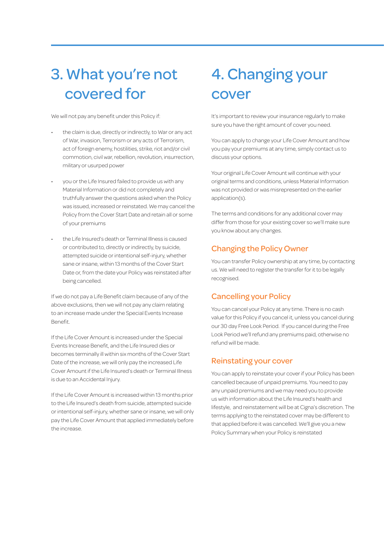### 3. What you're not covered for

We will not pay any benefit under this Policy if:

- the claim is due, directly or indirectly, to War or any act of War, invasion, Terrorism or any acts of Terrorism, act of foreign enemy, hostilities, strike, riot and/or civil commotion, civil war, rebellion, revolution, insurrection, military or usurped power
- you or the Life Insured failed to provide us with any Material Information or did not completely and truthfully answer the questions asked when the Policy was issued, increased or reinstated. We may cancel the Policy from the Cover Start Date and retain all or some of your premiums
- the Life Insured's death or Terminal Illness is caused or contributed to, directly or indirectly, by suicide, attempted suicide or intentional self-injury, whether sane or insane, within 13 months of the Cover Start Date or, from the date your Policy was reinstated after being cancelled.

If we do not pay a Life Benefit claim because of any of the above exclusions, then we will not pay any claim relating to an increase made under the Special Events Increase Benefit.

If the Life Cover Amount is increased under the Special Events Increase Benefit, and the Life Insured dies or becomes terminally ill within six months of the Cover Start Date of the increase, we will only pay the increased Life Cover Amount if the Life Insured's death or Terminal Illness is due to an Accidental Injury.

If the Life Cover Amount is increased within 13 months prior to the Life Insured's death from suicide, attempted suicide or intentional self-injury, whether sane or insane, we will only pay the Life Cover Amount that applied immediately before the increase.

### 4. Changing your cover

It's important to review your insurance regularly to make sure you have the right amount of cover you need.

You can apply to change your Life Cover Amount and how you pay your premiums at any time, simply contact us to discuss your options.

Your original Life Cover Amount will continue with your original terms and conditions, unless Material Information was not provided or was misrepresented on the earlier application(s).

The terms and conditions for any additional cover may differ from those for your existing cover so we'll make sure you know about any changes.

#### Changing the Policy Owner

You can transfer Policy ownership at any time, by contacting us. We will need to register the transfer for it to be legally recognised.

#### Cancelling your Policy

You can cancel your Policy at any time. There is no cash value for this Policy if you cancel it, unless you cancel during our 30 day Free Look Period. If you cancel during the Free Look Period we'll refund any premiums paid, otherwise no refund will be made.

#### Reinstating your cover

You can apply to reinstate your cover if your Policy has been cancelled because of unpaid premiums. You need to pay any unpaid premiums and we may need you to provide us with information about the Life Insured's health and lifestyle, and reinstatement will be at Cigna's discretion. The terms applying to the reinstated cover may be different to that applied before it was cancelled. We'll give you a new Policy Summary when your Policy is reinstated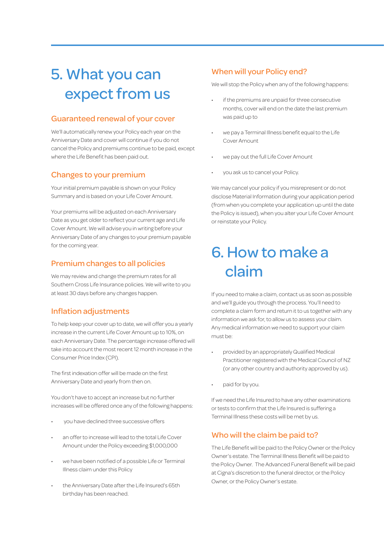### 5. What you can expect from us

#### Guaranteed renewal of your cover

We'll automatically renew your Policy each year on the Anniversary Date and cover will continue if you do not cancel the Policy and premiums continue to be paid, except where the Life Benefit has been paid out.

#### Changes to your premium

Your initial premium payable is shown on your Policy Summary and is based on your Life Cover Amount.

Your premiums will be adjusted on each Anniversary Date as you get older to reflect your current age and Life Cover Amount. We will advise you in writing before your Anniversary Date of any changes to your premium payable for the coming year.

#### Premium changes to all policies

We may review and change the premium rates for all Southern Cross Life Insurance policies. We will write to you at least 30 days before any changes happen.

#### Inflation adjustments

To help keep your cover up to date, we will offer you a yearly increase in the current Life Cover Amount up to 10%, on each Anniversary Date. The percentage increase offered will take into account the most recent 12 month increase in the Consumer Price Index (CPI).

The first indexation offer will be made on the first Anniversary Date and yearly from then on.

You don't have to accept an increase but no further increases will be offered once any of the following happens:

- you have declined three successive offers
- an offer to increase will lead to the total Life Cover Amount under the Policy exceeding \$1,000,000
- we have been notified of a possible Life or Terminal Illness claim under this Policy
- the Anniversary Date after the Life Insured's 65th birthday has been reached.

#### When will your Policy end?

We will stop the Policy when any of the following happens:

- if the premiums are unpaid for three consecutive months, cover will end on the date the last premium was paid up to
- we pay a Terminal Illness benefit equal to the Life Cover Amount
- we pay out the full Life Cover Amount
- you ask us to cancel your Policy.

We may cancel your policy if you misrepresent or do not disclose Material Information during your application period (from when you complete your application up until the date the Policy is issued), when you alter your Life Cover Amount or reinstate your Policy.

### 6. How to make a claim

If you need to make a claim, contact us as soon as possible and we'll guide you through the process. You'll need to complete a claim form and return it to us together with any information we ask for, to allow us to assess your claim. Any medical information we need to support your claim must be:

- provided by an appropriately Qualified Medical Practitioner registered with the Medical Council of NZ (or any other country and authority approved by us).
- paid for by you.

If we need the Life Insured to have any other examinations or tests to confirm that the Life Insured is suffering a Terminal Illness these costs will be met by us.

#### Who will the claim be paid to?

The Life Benefit will be paid to the Policy Owner or the Policy Owner's estate. The Terminal Illness Benefit will be paid to the Policy Owner. The Advanced Funeral Benefit will be paid at Cigna's discretion to the funeral director, or the Policy Owner, or the Policy Owner's estate.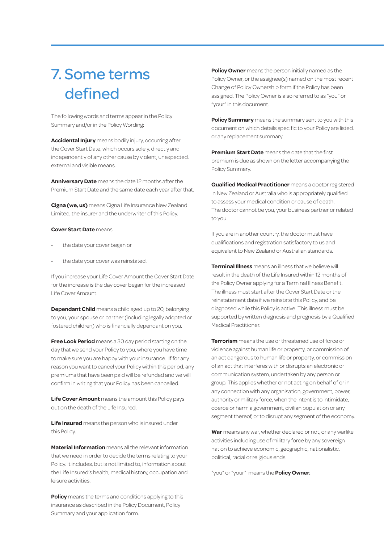### 7. Some terms defined

The following words and terms appear in the Policy Summary and/or in the Policy Wording:

**Accidental Injury** means bodily injury, occurring after the Cover Start Date, which occurs solely, directly and independently of any other cause by violent, unexpected, external and visible means.

**Anniversary Date** means the date 12 months after the Premium Start Date and the same date each year after that.

**Cigna (we, us)** means Cigna Life Insurance New Zealand Limited, the insurer and the underwriter of this Policy.

#### **Cover Start Date** means:

- the date your cover began or
- the date your cover was reinstated.

If you increase your Life Cover Amount the Cover Start Date for the increase is the day cover began for the increased Life Cover Amount.

**Dependant Child** means a child aged up to 20, belonging to you, your spouse or partner (including legally adopted or fostered children) who is financially dependant on you.

**Free Look Period** means a 30 day period starting on the day that we send your Policy to you, where you have time to make sure you are happy with your insurance. If for any reason you want to cancel your Policy within this period, any premiums that have been paid will be refunded and we will confirm in writing that your Policy has been cancelled.

**Life Cover Amount** means the amount this Policy pays out on the death of the Life Insured.

**Life Insured** means the person who is insured under this Policy.

**Material Information** means all the relevant information that we need in order to decide the terms relating to your Policy. It includes, but is not limited to, information about the Life Insured's health, medical history, occupation and leisure activities.

**Policy** means the terms and conditions applying to this insurance as described in the Policy Document, Policy Summary and your application form.

**Policy Owner** means the person initially named as the Policy Owner, or the assignee(s) named on the most recent Change of Policy Ownership form if the Policy has been assigned. The Policy Owner is also referred to as "you" or "your" in this document.

**Policy Summary** means the summary sent to you with this document on which details specific to your Policy are listed, or any replacement summary.

**Premium Start Date** means the date that the first premium is due as shown on the letter accompanying the Policy Summary.

**Qualified Medical Practitioner** means a doctor registered in New Zealand or Australia who is appropriately qualified to assess your medical condition or cause of death. The doctor cannot be you, your business partner or related to you.

If you are in another country, the doctor must have qualifications and registration satisfactory to us and equivalent to New Zealand or Australian standards.

**Terminal Illness** means an illness that we believe will result in the death of the Life Insured within 12 months of the Policy Owner applying for a Terminal Illness Benefit. The illness must start after the Cover Start Date or the reinstatement date if we reinstate this Policy, and be diagnosed while this Policy is active. This illness must be supported by written diagnosis and prognosis by a Qualified Medical Practitioner.

**Terrorism** means the use or threatened use of force or violence against human life or property, or commission of an act dangerous to human life or property, or commission of an act that interferes with or disrupts an electronic or communication system, undertaken by any person or group. This applies whether or not acting on behalf of or in any connection with any organisation, government, power, authority or military force, when the intent is to intimidate, coerce or harm a government, civilian population or any segment thereof, or to disrupt any segment of the economy.

**War** means any war, whether declared or not, or any warlike activities including use of military force by any sovereign nation to achieve economic, geographic, nationalistic, political, racial or religious ends.

"you" or "your" means the **Policy Owner.**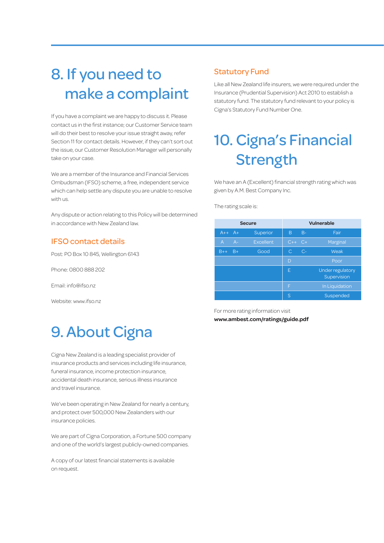### 8. If you need to make a complaint

If you have a complaint we are happy to discuss it. Please contact us in the first instance; our Customer Service team will do their best to resolve your issue straight away, refer Section 11 for contact details. However, if they can't sort out the issue, our Customer Resolution Manager will personally take on your case.

We are a member of the Insurance and Financial Services Ombudsman (IFSO) scheme, a free, independent service which can help settle any dispute you are unable to resolve with us.

Any dispute or action relating to this Policy will be determined in accordance with New Zealand law.

#### IFSO contact details

Post: PO Box 10 845, Wellington 6143

Phone: 0800 888 202

Email: info@ifso.nz

Website: www.ifso.nz

### 9. About Cigna

Cigna New Zealand is a leading specialist provider of insurance products and services including life insurance, funeral insurance, income protection insurance, accidental death insurance, serious illness insurance and travel insurance.

We've been operating in New Zealand for nearly a century, and protect over 500,000 New Zealanders with our insurance policies.

We are part of Cigna Corporation, a Fortune 500 company and one of the world's largest publicly-owned companies.

A copy of our latest financial statements is available on request.

#### Statutory Fund

Like all New Zealand life insurers, we were required under the Insurance (Prudential Supervision) Act 2010 to establish a statutory fund. The statutory fund relevant to your policy is Cigna's Statutory Fund Number One.

### 10. Cigna's Financial Strength

We have an A (Excellent) financial strength rating which was given by A.M. Best Company Inc.

The rating scale is:

| <b>Secure</b>           |                  | <b>Vulnerable</b> |       |                                        |
|-------------------------|------------------|-------------------|-------|----------------------------------------|
| $A++$<br>$A+$           | Superior         | B                 | $B -$ | Fair                                   |
| $A -$<br>$\overline{A}$ | <b>Excellent</b> | $C++$             | $C+$  | Marginal                               |
| $B+$<br>$B++$           | Good             | C                 | $C-$  | Weak                                   |
|                         |                  | D                 |       | Poor                                   |
|                         |                  | E                 |       | <b>Under regulatory</b><br>Supervision |
|                         |                  | F                 |       | In Liquidation                         |
|                         |                  | S                 |       | Suspended                              |

For more rating information visit **www.ambest.com/ratings/guide.pdf**